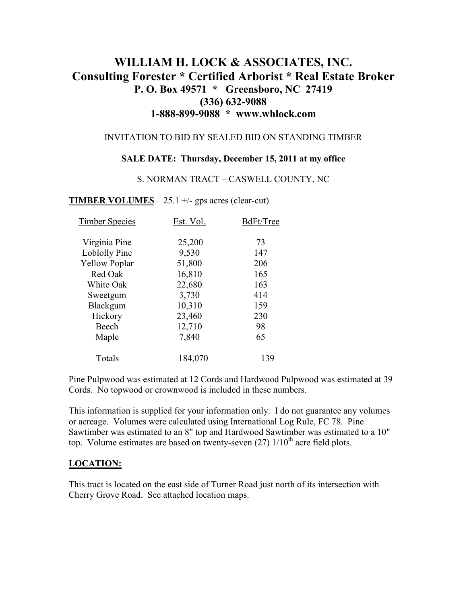# **WILLIAM H. LOCK & ASSOCIATES, INC. Consulting Forester \* Certified Arborist \* Real Estate Broker P. O. Box 49571 \* Greensboro, NC 27419 (336) 632-9088 1-888-899-9088 \* www.whlock.com**

### INVITATION TO BID BY SEALED BID ON STANDING TIMBER

#### **SALE DATE: Thursday, December 15, 2011 at my office**

#### S. NORMAN TRACT – CASWELL COUNTY, NC

### **TIMBER VOLUMES** – 25.1 +/- gps acres (clear-cut)

| <b>Timber Species</b> | Est. Vol. | BdFt/Tree |
|-----------------------|-----------|-----------|
| Virginia Pine         | 25,200    | 73        |
| Loblolly Pine         | 9,530     | 147       |
| <b>Yellow Poplar</b>  | 51,800    | 206       |
| Red Oak               | 16,810    | 165       |
| White Oak             | 22,680    | 163       |
| Sweetgum              | 3,730     | 414       |
| Blackgum              | 10,310    | 159       |
| Hickory               | 23,460    | 230       |
| Beech                 | 12,710    | 98        |
| Maple                 | 7,840     | 65        |
| Totals                | 184,070   | 139       |

Pine Pulpwood was estimated at 12 Cords and Hardwood Pulpwood was estimated at 39 Cords. No topwood or crownwood is included in these numbers.

This information is supplied for your information only. I do not guarantee any volumes or acreage. Volumes were calculated using International Log Rule, FC 78. Pine Sawtimber was estimated to an 8" top and Hardwood Sawtimber was estimated to a 10" top. Volume estimates are based on twenty-seven  $(27)$  1/10<sup>th</sup> acre field plots.

### **LOCATION:**

This tract is located on the east side of Turner Road just north of its intersection with Cherry Grove Road. See attached location maps.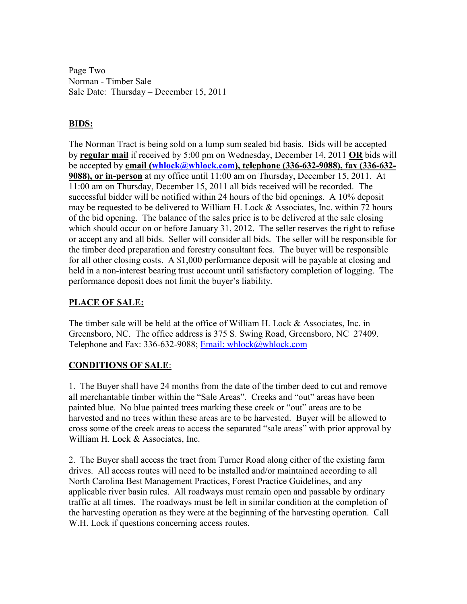Page Two Norman - Timber Sale Sale Date: Thursday – December 15, 2011

# **BIDS:**

The Norman Tract is being sold on a lump sum sealed bid basis. Bids will be accepted by **regular mail** if received by 5:00 pm on Wednesday, December 14, 2011 **OR** bids will be accepted by **email (whlock@whlock.com), telephone (336-632-9088), fax (336-632- 9088), or in-person** at my office until 11:00 am on Thursday, December 15, 2011. At 11:00 am on Thursday, December 15, 2011 all bids received will be recorded. The successful bidder will be notified within 24 hours of the bid openings. A 10% deposit may be requested to be delivered to William H. Lock  $\&$  Associates, Inc. within 72 hours of the bid opening. The balance of the sales price is to be delivered at the sale closing which should occur on or before January 31, 2012. The seller reserves the right to refuse or accept any and all bids. Seller will consider all bids. The seller will be responsible for the timber deed preparation and forestry consultant fees. The buyer will be responsible for all other closing costs. A \$1,000 performance deposit will be payable at closing and held in a non-interest bearing trust account until satisfactory completion of logging. The performance deposit does not limit the buyer's liability.

# **PLACE OF SALE:**

The timber sale will be held at the office of William H. Lock & Associates, Inc. in Greensboro, NC. The office address is 375 S. Swing Road, Greensboro, NC 27409. Telephone and Fax: 336-632-9088; Email: whlock@whlock.com

# **CONDITIONS OF SALE**:

1. The Buyer shall have 24 months from the date of the timber deed to cut and remove all merchantable timber within the "Sale Areas". Creeks and "out" areas have been painted blue. No blue painted trees marking these creek or "out" areas are to be harvested and no trees within these areas are to be harvested. Buyer will be allowed to cross some of the creek areas to access the separated "sale areas" with prior approval by William H. Lock & Associates, Inc.

2. The Buyer shall access the tract from Turner Road along either of the existing farm drives. All access routes will need to be installed and/or maintained according to all North Carolina Best Management Practices, Forest Practice Guidelines, and any applicable river basin rules. All roadways must remain open and passable by ordinary traffic at all times. The roadways must be left in similar condition at the completion of the harvesting operation as they were at the beginning of the harvesting operation. Call W.H. Lock if questions concerning access routes.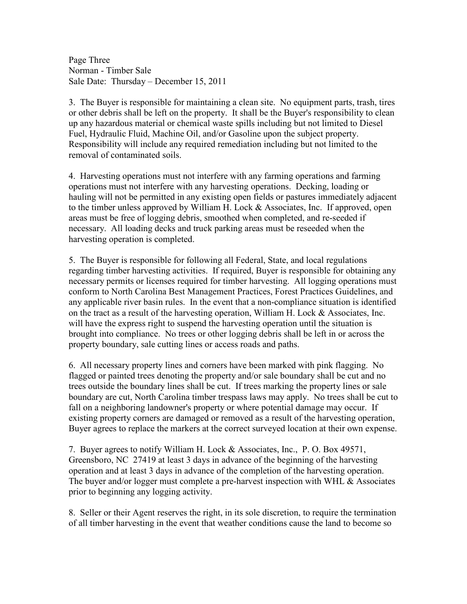Page Three Norman - Timber Sale Sale Date: Thursday – December 15, 2011

3. The Buyer is responsible for maintaining a clean site. No equipment parts, trash, tires or other debris shall be left on the property. It shall be the Buyer's responsibility to clean up any hazardous material or chemical waste spills including but not limited to Diesel Fuel, Hydraulic Fluid, Machine Oil, and/or Gasoline upon the subject property. Responsibility will include any required remediation including but not limited to the removal of contaminated soils.

4. Harvesting operations must not interfere with any farming operations and farming operations must not interfere with any harvesting operations. Decking, loading or hauling will not be permitted in any existing open fields or pastures immediately adjacent to the timber unless approved by William H. Lock & Associates, Inc. If approved, open areas must be free of logging debris, smoothed when completed, and re-seeded if necessary. All loading decks and truck parking areas must be reseeded when the harvesting operation is completed.

5. The Buyer is responsible for following all Federal, State, and local regulations regarding timber harvesting activities. If required, Buyer is responsible for obtaining any necessary permits or licenses required for timber harvesting. All logging operations must conform to North Carolina Best Management Practices, Forest Practices Guidelines, and any applicable river basin rules. In the event that a non-compliance situation is identified on the tract as a result of the harvesting operation, William H. Lock  $\&$  Associates, Inc. will have the express right to suspend the harvesting operation until the situation is brought into compliance. No trees or other logging debris shall be left in or across the property boundary, sale cutting lines or access roads and paths.

6. All necessary property lines and corners have been marked with pink flagging. No flagged or painted trees denoting the property and/or sale boundary shall be cut and no trees outside the boundary lines shall be cut. If trees marking the property lines or sale boundary are cut, North Carolina timber trespass laws may apply. No trees shall be cut to fall on a neighboring landowner's property or where potential damage may occur. If existing property corners are damaged or removed as a result of the harvesting operation, Buyer agrees to replace the markers at the correct surveyed location at their own expense.

7. Buyer agrees to notify William H. Lock & Associates, Inc., P. O. Box 49571, Greensboro, NC 27419 at least 3 days in advance of the beginning of the harvesting operation and at least 3 days in advance of the completion of the harvesting operation. The buyer and/or logger must complete a pre-harvest inspection with WHL & Associates prior to beginning any logging activity.

8. Seller or their Agent reserves the right, in its sole discretion, to require the termination of all timber harvesting in the event that weather conditions cause the land to become so